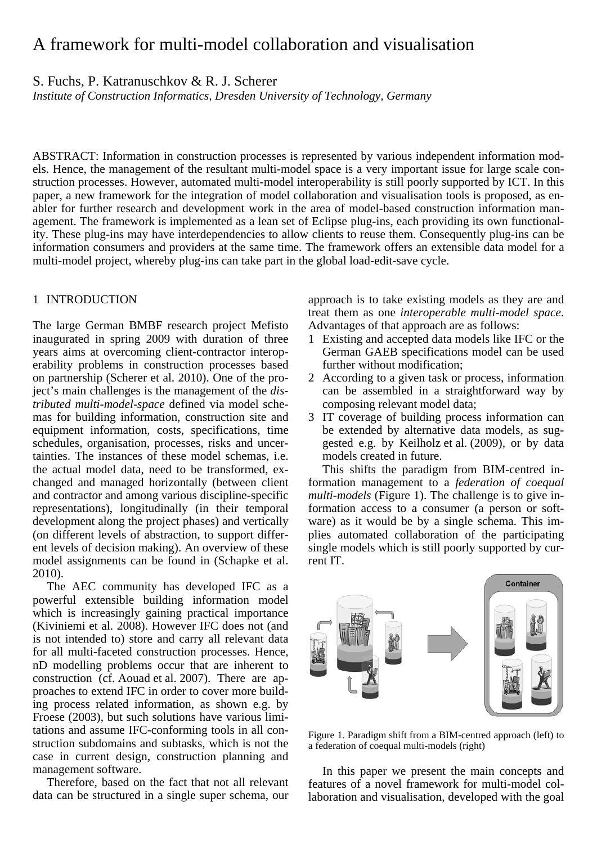# A framework for multi-model collaboration and visualisation

S. Fuchs, P. Katranuschkov & R. J. Scherer

*Institute of Construction Informatics, Dresden University of Technology, Germany* 

ABSTRACT: Information in construction processes is represented by various independent information models. Hence, the management of the resultant multi-model space is a very important issue for large scale construction processes. However, automated multi-model interoperability is still poorly supported by ICT. In this paper, a new framework for the integration of model collaboration and visualisation tools is proposed, as enabler for further research and development work in the area of model-based construction information management. The framework is implemented as a lean set of Eclipse plug-ins, each providing its own functionality. These plug-ins may have interdependencies to allow clients to reuse them. Consequently plug-ins can be information consumers and providers at the same time. The framework offers an extensible data model for a multi-model project, whereby plug-ins can take part in the global load-edit-save cycle.

### 1 INTRODUCTION

The large German BMBF research project Mefisto inaugurated in spring 2009 with duration of three years aims at overcoming client-contractor interoperability problems in construction processes based on partnership (Scherer et al. 2010). One of the project's main challenges is the management of the *distributed multi-model-space* defined via model schemas for building information, construction site and equipment information, costs, specifications, time schedules, organisation, processes, risks and uncertainties. The instances of these model schemas, i.e. the actual model data, need to be transformed, exchanged and managed horizontally (between client and contractor and among various discipline-specific representations), longitudinally (in their temporal development along the project phases) and vertically (on different levels of abstraction, to support different levels of decision making). An overview of these model assignments can be found in (Schapke et al. 2010).

The AEC community has developed IFC as a powerful extensible building information model which is increasingly gaining practical importance (Kiviniemi et al. 2008). However IFC does not (and is not intended to) store and carry all relevant data for all multi-faceted construction processes. Hence, nD modelling problems occur that are inherent to construction (cf. Aouad et al. 2007). There are approaches to extend IFC in order to cover more building process related information, as shown e.g. by Froese (2003), but such solutions have various limitations and assume IFC-conforming tools in all construction subdomains and subtasks, which is not the case in current design, construction planning and management software.

Therefore, based on the fact that not all relevant data can be structured in a single super schema, our approach is to take existing models as they are and treat them as one *interoperable multi-model space*. Advantages of that approach are as follows:

- 1 Existing and accepted data models like IFC or the German GAEB specifications model can be used further without modification;
- 2 According to a given task or process, information can be assembled in a straightforward way by composing relevant model data;
- 3 IT coverage of building process information can be extended by alternative data models, as suggested e.g. by Keilholz et al. (2009), or by data models created in future.

This shifts the paradigm from BIM-centred information management to a *federation of coequal multi-models* (Figure 1). The challenge is to give information access to a consumer (a person or software) as it would be by a single schema. This implies automated collaboration of the participating single models which is still poorly supported by current IT.



Figure 1. Paradigm shift from a BIM-centred approach (left) to a federation of coequal multi-models (right)

In this paper we present the main concepts and features of a novel framework for multi-model collaboration and visualisation, developed with the goal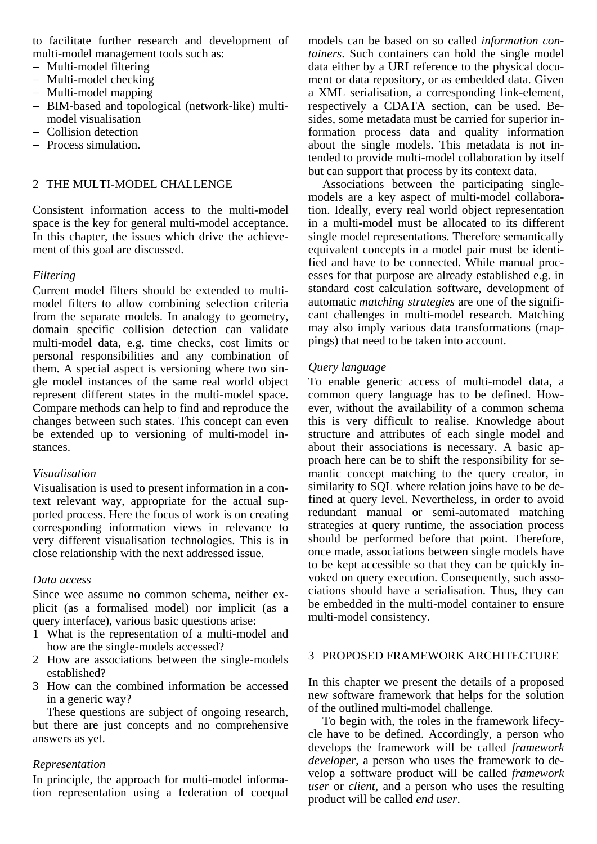to facilitate further research and development of multi-model management tools such as:

- − Multi-model filtering
- − Multi-model checking
- − Multi-model mapping
- − BIM-based and topological (network-like) multimodel visualisation
- − Collision detection
- − Process simulation.

# 2 THE MULTI-MODEL CHALLENGE

Consistent information access to the multi-model space is the key for general multi-model acceptance. In this chapter, the issues which drive the achievement of this goal are discussed.

# *Filtering*

Current model filters should be extended to multimodel filters to allow combining selection criteria from the separate models. In analogy to geometry, domain specific collision detection can validate multi-model data, e.g. time checks, cost limits or personal responsibilities and any combination of them. A special aspect is versioning where two single model instances of the same real world object represent different states in the multi-model space. Compare methods can help to find and reproduce the changes between such states. This concept can even be extended up to versioning of multi-model instances.

# *Visualisation*

Visualisation is used to present information in a context relevant way, appropriate for the actual supported process. Here the focus of work is on creating corresponding information views in relevance to very different visualisation technologies. This is in close relationship with the next addressed issue.

# *Data access*

Since wee assume no common schema, neither explicit (as a formalised model) nor implicit (as a query interface), various basic questions arise:

- 1 What is the representation of a multi-model and how are the single-models accessed?
- 2 How are associations between the single-models established?
- 3 How can the combined information be accessed in a generic way?

These questions are subject of ongoing research, but there are just concepts and no comprehensive answers as yet.

# *Representation*

In principle, the approach for multi-model information representation using a federation of coequal models can be based on so called *information containers*. Such containers can hold the single model data either by a URI reference to the physical document or data repository, or as embedded data. Given a XML serialisation, a corresponding link-element, respectively a CDATA section, can be used. Besides, some metadata must be carried for superior information process data and quality information about the single models. This metadata is not intended to provide multi-model collaboration by itself but can support that process by its context data.

Associations between the participating singlemodels are a key aspect of multi-model collaboration. Ideally, every real world object representation in a multi-model must be allocated to its different single model representations. Therefore semantically equivalent concepts in a model pair must be identified and have to be connected. While manual processes for that purpose are already established e.g. in standard cost calculation software, development of automatic *matching strategies* are one of the significant challenges in multi-model research. Matching may also imply various data transformations (mappings) that need to be taken into account.

### *Query language*

To enable generic access of multi-model data, a common query language has to be defined. However, without the availability of a common schema this is very difficult to realise. Knowledge about structure and attributes of each single model and about their associations is necessary. A basic approach here can be to shift the responsibility for semantic concept matching to the query creator, in similarity to SQL where relation joins have to be defined at query level. Nevertheless, in order to avoid redundant manual or semi-automated matching strategies at query runtime, the association process should be performed before that point. Therefore, once made, associations between single models have to be kept accessible so that they can be quickly invoked on query execution. Consequently, such associations should have a serialisation. Thus, they can be embedded in the multi-model container to ensure multi-model consistency.

### 3 PROPOSED FRAMEWORK ARCHITECTURE

In this chapter we present the details of a proposed new software framework that helps for the solution of the outlined multi-model challenge.

To begin with, the roles in the framework lifecycle have to be defined. Accordingly, a person who develops the framework will be called *framework developer*, a person who uses the framework to develop a software product will be called *framework user* or *client*, and a person who uses the resulting product will be called *end user*.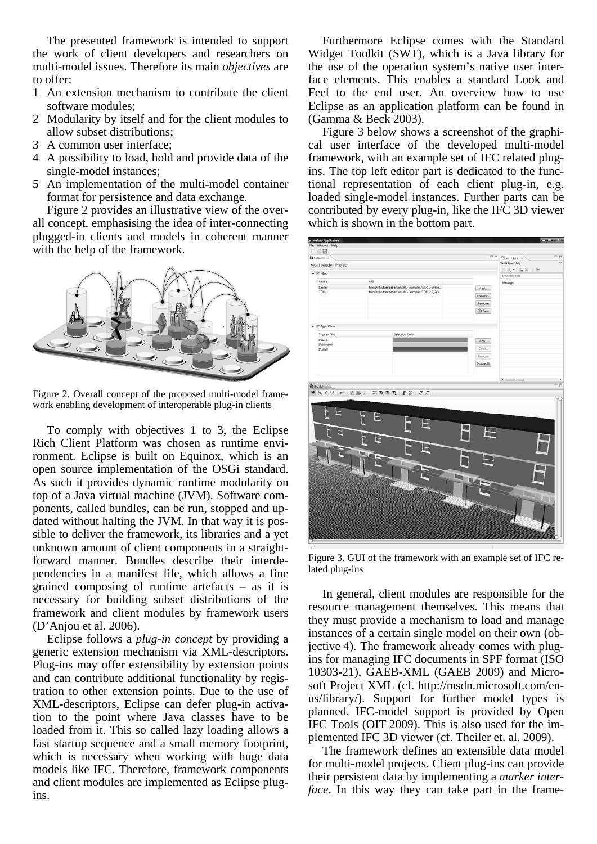The presented framework is intended to support the work of client developers and researchers on multi-model issues. Therefore its main *objectives* are to offer:

- 1 An extension mechanism to contribute the client software modules;
- 2 Modularity by itself and for the client modules to allow subset distributions;
- 3 A common user interface;
- 4 A possibility to load, hold and provide data of the single-model instances;
- 5 An implementation of the multi-model container format for persistence and data exchange.

Figure 2 provides an illustrative view of the overall concept, emphasising the idea of inter-connecting plugged-in clients and models in coherent manner with the help of the framework.



Figure 2. Overall concept of the proposed multi-model framework enabling development of interoperable plug-in clients

To comply with objectives 1 to 3, the Eclipse Rich Client Platform was chosen as runtime environment. Eclipse is built on Equinox, which is an open source implementation of the OSGi standard. As such it provides dynamic runtime modularity on top of a Java virtual machine (JVM). Software components, called bundles, can be run, stopped and updated without halting the JVM. In that way it is possible to deliver the framework, its libraries and a yet unknown amount of client components in a straightforward manner. Bundles describe their interdependencies in a manifest file, which allows a fine grained composing of runtime artefacts – as it is necessary for building subset distributions of the framework and client modules by framework users (D'Anjou et al. 2006).

Eclipse follows a *plug-in concept* by providing a generic extension mechanism via XML-descriptors. Plug-ins may offer extensibility by extension points and can contribute additional functionality by registration to other extension points. Due to the use of XML-descriptors, Eclipse can defer plug-in activation to the point where Java classes have to be loaded from it. This so called lazy loading allows a fast startup sequence and a small memory footprint, which is necessary when working with huge data models like IFC. Therefore, framework components and client modules are implemented as Eclipse plugins.

Furthermore Eclipse comes with the Standard Widget Toolkit (SWT), which is a Java library for the use of the operation system's native user interface elements. This enables a standard Look and Feel to the end user. An overview how to use Eclipse as an application platform can be found in (Gamma & Beck 2003).

Figure 3 below shows a screenshot of the graphical user interface of the developed multi-model framework, with an example set of IFC related plugins. The top left editor part is dedicated to the functional representation of each client plug-in, e.g. loaded single-model instances. Further parts can be contributed by every plug-in, like the IFC 3D viewer which is shown in the bottom part.



Figure 3. GUI of the framework with an example set of IFC related plug-ins

In general, client modules are responsible for the resource management themselves. This means that they must provide a mechanism to load and manage instances of a certain single model on their own (objective 4). The framework already comes with plugins for managing IFC documents in SPF format (ISO 10303-21), GAEB-XML (GAEB 2009) and Microsoft Project XML (cf. http://msdn.microsoft.com/enus/library/). Support for further model types is planned. IFC-model support is provided by Open IFC Tools (OIT 2009). This is also used for the implemented IFC 3D viewer (cf. Theiler et. al. 2009).

The framework defines an extensible data model for multi-model projects. Client plug-ins can provide their persistent data by implementing a *marker interface*. In this way they can take part in the frame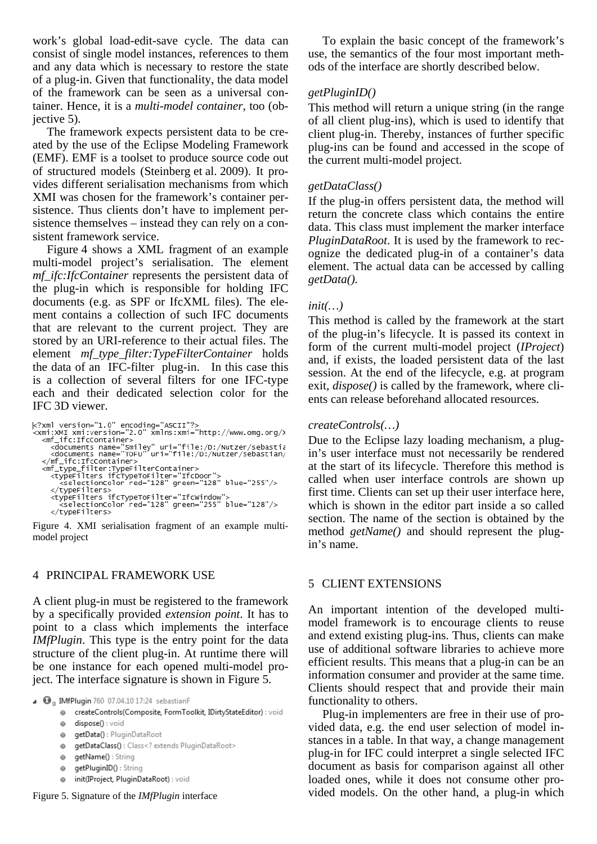work's global load-edit-save cycle. The data can consist of single model instances, references to them and any data which is necessary to restore the state of a plug-in. Given that functionality, the data model of the framework can be seen as a universal container. Hence, it is a *multi-model container*, too (objective 5).

The framework expects persistent data to be created by the use of the Eclipse Modeling Framework (EMF). EMF is a toolset to produce source code out of structured models (Steinberg et al. 2009). It provides different serialisation mechanisms from which XMI was chosen for the framework's container persistence. Thus clients don't have to implement persistence themselves – instead they can rely on a consistent framework service.

Figure 4 shows a XML fragment of an example multi-model project's serialisation. The element *mf\_ifc:IfcContainer* represents the persistent data of the plug-in which is responsible for holding IFC documents (e.g. as SPF or IfcXML files). The element contains a collection of such IFC documents that are relevant to the current project. They are stored by an URI-reference to their actual files. The element *mf\_type\_filter:TypeFilterContainer* holds the data of an IFC-filter plug-in. In this case this is a collection of several filters for one IFC-type each and their dedicated selection color for the IFC 3D viewer.

```
k?xml version="1.0" encoding="ASCII"?><br><xmi:XMI xmi:version="2.0" xmlns:xmi="http://www.omg.org/x<br><mf_ifc:IfcContainer><br><documents name="5miley" uri="file:/D:/Nutzer/sebastia<br><documents name="5miley" uri="file:/D:/Nutzer/s
       <documents name="TOFU" uri="file:/D:/Nutzer/sebastiar<br>
</mf_ifc:ifccontainer><br>
<mf_type_filter:TypeFilterContainer><br>
<typeFilters ifcTypeToFilter="IfcDoor"><br>
<selectionColor red="128" green="128" blue="255"/><br>
</typeFilter
                 </typeFilters>
```
Figure 4. XMI serialisation fragment of an example multimodel project

# 4 PRINCIPAL FRAMEWORK USE

A client plug-in must be registered to the framework by a specifically provided *extension point*. It has to point to a class which implements the interface *IMfPlugin*. This type is the entry point for the data structure of the client plug-in. At runtime there will be one instance for each opened multi-model project. The interface signature is shown in Figure 5.

4 0 MfPlugin 760 07.04.10 17:24 sebastianF

- createControls(Composite, FormToolkit, IDirtyStateEditor) : void
- · dispose(): void
- · qetData(): PluginDataRoot
- e getDataClass(): Class<? extends PluginDataRoot>
- · getName(): String
- · getPluginID(): String
- · init(IProject, PluginDataRoot) : void

#### Figure 5. Signature of the *IMfPlugin* interface

To explain the basic concept of the framework's use, the semantics of the four most important methods of the interface are shortly described below.

#### *getPluginID()*

This method will return a unique string (in the range of all client plug-ins), which is used to identify that client plug-in. Thereby, instances of further specific plug-ins can be found and accessed in the scope of the current multi-model project.

#### *getDataClass()*

If the plug-in offers persistent data, the method will return the concrete class which contains the entire data. This class must implement the marker interface *PluginDataRoot*. It is used by the framework to recognize the dedicated plug-in of a container's data element. The actual data can be accessed by calling *getData().*

#### *init(…)*

This method is called by the framework at the start of the plug-in's lifecycle. It is passed its context in form of the current multi-model project (*IProject*) and, if exists, the loaded persistent data of the last session. At the end of the lifecycle, e.g. at program exit, *dispose()* is called by the framework, where clients can release beforehand allocated resources.

#### *createControls(…)*

Due to the Eclipse lazy loading mechanism, a plugin's user interface must not necessarily be rendered at the start of its lifecycle. Therefore this method is called when user interface controls are shown up first time. Clients can set up their user interface here, which is shown in the editor part inside a so called section. The name of the section is obtained by the method *getName()* and should represent the plugin's name.

#### 5 CLIENT EXTENSIONS

An important intention of the developed multimodel framework is to encourage clients to reuse and extend existing plug-ins. Thus, clients can make use of additional software libraries to achieve more efficient results. This means that a plug-in can be an information consumer and provider at the same time. Clients should respect that and provide their main functionality to others.

Plug-in implementers are free in their use of provided data, e.g. the end user selection of model instances in a table. In that way, a change management plug-in for IFC could interpret a single selected IFC document as basis for comparison against all other loaded ones, while it does not consume other provided models. On the other hand, a plug-in which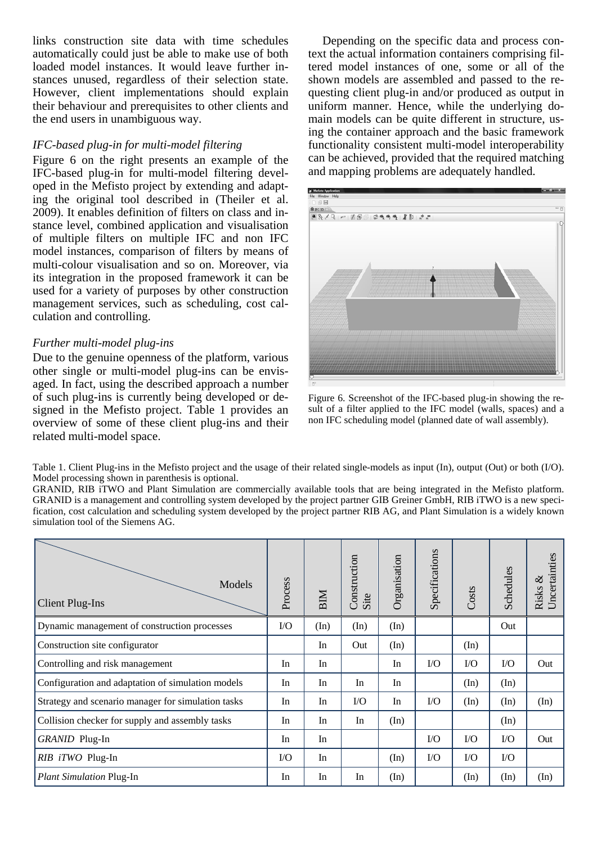links construction site data with time schedules automatically could just be able to make use of both loaded model instances. It would leave further instances unused, regardless of their selection state. However, client implementations should explain their behaviour and prerequisites to other clients and the end users in unambiguous way.

### *IFC-based plug-in for multi-model filtering*

Figure 6 on the right presents an example of the IFC-based plug-in for multi-model filtering developed in the Mefisto project by extending and adapting the original tool described in (Theiler et al. 2009). It enables definition of filters on class and instance level, combined application and visualisation of multiple filters on multiple IFC and non IFC model instances, comparison of filters by means of multi-colour visualisation and so on. Moreover, via its integration in the proposed framework it can be used for a variety of purposes by other construction management services, such as scheduling, cost calculation and controlling.

### *Further multi-model plug-ins*

Due to the genuine openness of the platform, various other single or multi-model plug-ins can be envisaged. In fact, using the described approach a number of such plug-ins is currently being developed or designed in the Mefisto project. Table 1 provides an overview of some of these client plug-ins and their related multi-model space.

Depending on the specific data and process context the actual information containers comprising filtered model instances of one, some or all of the shown models are assembled and passed to the requesting client plug-in and/or produced as output in uniform manner. Hence, while the underlying domain models can be quite different in structure, using the container approach and the basic framework functionality consistent multi-model interoperability can be achieved, provided that the required matching and mapping problems are adequately handled.



Figure 6. Screenshot of the IFC-based plug-in showing the result of a filter applied to the IFC model (walls, spaces) and a non IFC scheduling model (planned date of wall assembly).

Table 1. Client Plug-ins in the Mefisto project and the usage of their related single-models as input (In), output (Out) or both (I/O). Model processing shown in parenthesis is optional.

GRANID, RIB iTWO and Plant Simulation are commercially available tools that are being integrated in the Mefisto platform. GRANID is a management and controlling system developed by the project partner GIB Greiner GmbH, RIB iTWO is a new specification, cost calculation and scheduling system developed by the project partner RIB AG, and Plant Simulation is a widely known simulation tool of the Siemens AG.

| Models<br><b>Client Plug-Ins</b>                   | Process   | <b>NIR</b> | Construction<br>Site | Organisation | Specifications | Costs    | Schedules | Uncertainties<br>Risks $\&$ |
|----------------------------------------------------|-----------|------------|----------------------|--------------|----------------|----------|-----------|-----------------------------|
| Dynamic management of construction processes       | $\rm I/O$ | (In)       | (In)                 | (In)         |                |          | Out       |                             |
| Construction site configurator                     |           | In         | Out                  | (In)         |                | (In)     |           |                             |
| Controlling and risk management                    | In        | In         |                      | In           | $\rm LO$       | $\rm LO$ | $\rm LO$  | Out                         |
| Configuration and adaptation of simulation models  | In        | In         | In                   | In           |                | (In)     | (In)      |                             |
| Strategy and scenario manager for simulation tasks | In        | In         | $\rm LO$             | In           | $\rm LO$       | (In)     | (In)      | (In)                        |
| Collision checker for supply and assembly tasks    | In        | In         | I <sub>n</sub>       | (In)         |                |          | (In)      |                             |
| GRANID Plug-In                                     | In        | In         |                      |              | $VO$           | $\rm LO$ | $\rm LO$  | Out                         |
| RIB iTWO Plug-In                                   | $\rm LO$  | In         |                      | (In)         | $\rm LO$       | $\rm LO$ | $\rm LO$  |                             |
| <b>Plant Simulation Plug-In</b>                    | In        | In         | In                   | (In)         |                | (In)     | (In)      | (In)                        |